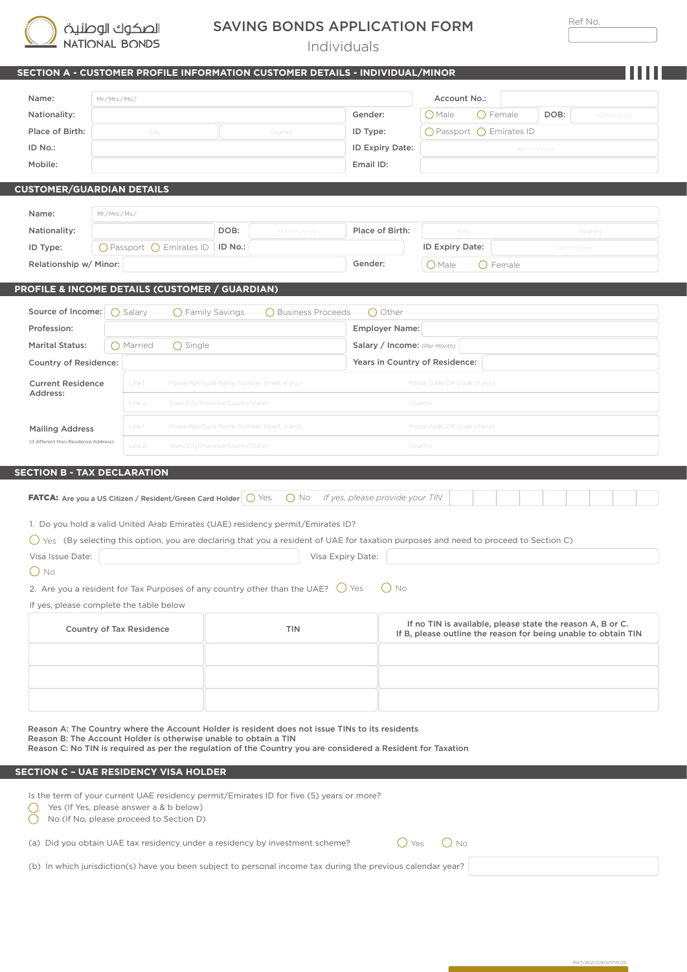

## SAVING BONDS APPLICATION FORM

Ref No.

MKT/2021/09/APPIN/01

Individuals

|                                         | SECTION A - CUSTOMER PROFILE INFORMATION CUSTOMER DETAILS - INDIVIDUAL/MINOR                                                                                                                                                                                                                                                                                                                                    |                                               |                     |                                                                                                                              |                               |                          |                    |  |  |  |  |  |  |
|-----------------------------------------|-----------------------------------------------------------------------------------------------------------------------------------------------------------------------------------------------------------------------------------------------------------------------------------------------------------------------------------------------------------------------------------------------------------------|-----------------------------------------------|---------------------|------------------------------------------------------------------------------------------------------------------------------|-------------------------------|--------------------------|--------------------|--|--|--|--|--|--|
| Name:                                   | Mr./ Mrs./ Ms./                                                                                                                                                                                                                                                                                                                                                                                                 |                                               |                     |                                                                                                                              | Account No.:                  |                          |                    |  |  |  |  |  |  |
| Nationality:                            |                                                                                                                                                                                                                                                                                                                                                                                                                 |                                               |                     | Gender:                                                                                                                      | $O$ Male                      | $\bigcirc$ Female        | DOB:<br>dd/mm/yyyy |  |  |  |  |  |  |
| Place of Birth:                         | City                                                                                                                                                                                                                                                                                                                                                                                                            | Country                                       |                     |                                                                                                                              |                               | ○ Passport ○ Emirates ID |                    |  |  |  |  |  |  |
| ID No.:                                 |                                                                                                                                                                                                                                                                                                                                                                                                                 | ID Expiry Date:                               | dd/mm/yyyy          |                                                                                                                              |                               |                          |                    |  |  |  |  |  |  |
| Mobile:                                 |                                                                                                                                                                                                                                                                                                                                                                                                                 |                                               |                     | Email ID:                                                                                                                    |                               |                          |                    |  |  |  |  |  |  |
| <b>CUSTOMER/GUARDIAN DETAILS</b>        |                                                                                                                                                                                                                                                                                                                                                                                                                 |                                               |                     |                                                                                                                              |                               |                          |                    |  |  |  |  |  |  |
| Name:                                   | Mr./Mrs./Ms./                                                                                                                                                                                                                                                                                                                                                                                                   |                                               |                     |                                                                                                                              |                               |                          |                    |  |  |  |  |  |  |
| Nationality:                            |                                                                                                                                                                                                                                                                                                                                                                                                                 | DOB:                                          | dd/mm/yyyy          | Place of Birth:                                                                                                              | City                          |                          | Country            |  |  |  |  |  |  |
| ID Type:                                | $\bigcirc$ Passport $\bigcirc$ Emirates ID                                                                                                                                                                                                                                                                                                                                                                      | ID No.:                                       |                     |                                                                                                                              | ID Expiry Date:               |                          | dd/mm/yyyy         |  |  |  |  |  |  |
| Relationship w/ Minor:                  |                                                                                                                                                                                                                                                                                                                                                                                                                 |                                               |                     | Gender:                                                                                                                      | $O$ Male<br>$\bigcirc$ Female |                          |                    |  |  |  |  |  |  |
|                                         | PROFILE & INCOME DETAILS (CUSTOMER / GUARDIAN)                                                                                                                                                                                                                                                                                                                                                                  |                                               |                     |                                                                                                                              |                               |                          |                    |  |  |  |  |  |  |
| Source of Income:                       | $\bigcap$ Salary<br>$\bigcap$ Family Savings                                                                                                                                                                                                                                                                                                                                                                    |                                               | ◯ Business Proceeds | ◯ Other                                                                                                                      |                               |                          |                    |  |  |  |  |  |  |
| Profession:                             |                                                                                                                                                                                                                                                                                                                                                                                                                 |                                               |                     | <b>Employer Name:</b>                                                                                                        |                               |                          |                    |  |  |  |  |  |  |
| <b>Marital Status:</b>                  | ◯ Married<br>$\bigcap$ Single                                                                                                                                                                                                                                                                                                                                                                                   |                                               |                     | Salary / Income: (Per Month)                                                                                                 |                               |                          |                    |  |  |  |  |  |  |
| <b>Country of Residence:</b>            |                                                                                                                                                                                                                                                                                                                                                                                                                 |                                               |                     | Years in Country of Residence:                                                                                               |                               |                          |                    |  |  |  |  |  |  |
| <b>Current Residence</b>                | Line 1                                                                                                                                                                                                                                                                                                                                                                                                          | House/Apt/Suite Name, Number, Street, if any) |                     |                                                                                                                              | Postal Code/ZIP Code (if any) |                          |                    |  |  |  |  |  |  |
| Address:                                | Line 2                                                                                                                                                                                                                                                                                                                                                                                                          | Town/City/Province/County/State)<br>Country   |                     |                                                                                                                              |                               |                          |                    |  |  |  |  |  |  |
| <b>Mailing Address</b>                  | Line 1                                                                                                                                                                                                                                                                                                                                                                                                          | House/Apt/Suite Name, Number, Street, if any) |                     |                                                                                                                              | Postal Code/ZIP Code (if any) |                          |                    |  |  |  |  |  |  |
| (if different than Residence Address):  | Line 2                                                                                                                                                                                                                                                                                                                                                                                                          | Town/City/Province/County/State)              |                     |                                                                                                                              | Country                       |                          |                    |  |  |  |  |  |  |
| Visa Issue Date:<br>( ) <sub>No</sub>   | <b>FATCA:</b> Are you a US Citizen / Resident/Green Card Holder $\bigcirc$ Yes<br>1. Do you hold a valid United Arab Emirates (UAE) residency permit/Emirates ID?<br>$\bigcirc$ Yes (By selecting this option, you are declaring that you a resident of UAE for taxation purposes and need to proceed to Section C)<br>2. Are you a resident for Tax Purposes of any country other than the UAE? $\bigcirc$ Yes |                                               | $()$ No             | If yes, please provide your TIN<br>Visa Expiry Date:<br>() No                                                                |                               |                          |                    |  |  |  |  |  |  |
| If yes, please complete the table below |                                                                                                                                                                                                                                                                                                                                                                                                                 |                                               |                     |                                                                                                                              |                               |                          |                    |  |  |  |  |  |  |
|                                         | Country of Tax Residence                                                                                                                                                                                                                                                                                                                                                                                        |                                               | <b>TIN</b>          | If no TIN is available, please state the reason A, B or C.<br>If B, please outline the reason for being unable to obtain TIN |                               |                          |                    |  |  |  |  |  |  |
|                                         |                                                                                                                                                                                                                                                                                                                                                                                                                 |                                               |                     |                                                                                                                              |                               |                          |                    |  |  |  |  |  |  |
|                                         |                                                                                                                                                                                                                                                                                                                                                                                                                 |                                               |                     |                                                                                                                              |                               |                          |                    |  |  |  |  |  |  |
|                                         | Reason A: The Country where the Account Holder is resident does not issue TINs to its residents<br>Reason B: The Account Holder is otherwise unable to obtain a TIN<br>Reason C: No TIN is required as per the regulation of the Country you are considered a Resident for Taxation                                                                                                                             |                                               |                     |                                                                                                                              |                               |                          |                    |  |  |  |  |  |  |
|                                         | SECTION C - UAE RESIDENCY VISA HOLDER                                                                                                                                                                                                                                                                                                                                                                           |                                               |                     |                                                                                                                              |                               |                          |                    |  |  |  |  |  |  |
|                                         | Is the term of your current UAE residency permit/Emirates ID for five (5) years or more?<br>Yes (If Yes, please answer a & b below)<br>No (If No, please proceed to Section D)                                                                                                                                                                                                                                  |                                               |                     |                                                                                                                              |                               |                          |                    |  |  |  |  |  |  |
|                                         | (a) Did you obtain UAE tax residency under a residency by investment scheme?                                                                                                                                                                                                                                                                                                                                    |                                               |                     | ( ) Yes                                                                                                                      | $\bigcirc$ No                 |                          |                    |  |  |  |  |  |  |

(b) In which jurisdiction(s) have you been subject to personal income tax during the previous calendar year?